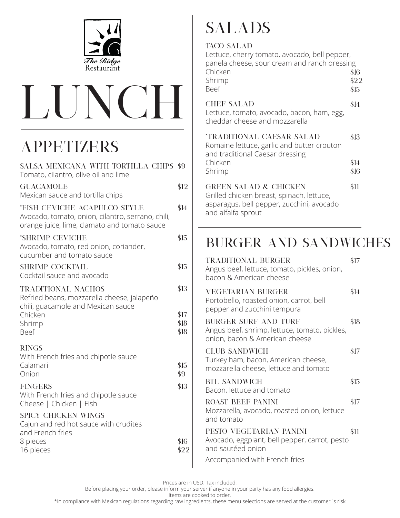



# Appetizers

| SALSA MEXICANA WITH TORTILLA CHIPS \$9<br>Tomato, cilantro, olive oil and lime                                                           |              |
|------------------------------------------------------------------------------------------------------------------------------------------|--------------|
| <b>GUACAMOLE</b><br>Mexican sauce and tortilla chips                                                                                     | \$12         |
| <b>*FISH CEVICHE ACAPULCO STYLE</b><br>Avocado, tomato, onion, cilantro, serrano, chili,<br>orange juice, lime, clamato and tomato sauce | \$14         |
| *SHRIMP CEVICHE<br>Avocado, tomato, red onion, coriander,<br>cucumber and tomato sauce                                                   | \$15         |
| <b>SHRIMP COCKTAIL</b><br>Cocktail sauce and avocado                                                                                     | \$15         |
| <b>TRADITIONAL NACHOS</b><br>Refried beans, mozzarella cheese, jalapeño<br>chili, guacamole and Mexican sauce<br>Chicken                 | \$13<br>\$17 |
| Shrimp<br>Beef                                                                                                                           | \$18<br>\$18 |
| <b>RINGS</b><br>With French fries and chipotle sauce<br>Calamari<br>Onion                                                                | \$15<br>\$9  |
| <b>FINGERS</b><br>With French fries and chipotle sauce<br>Cheese   Chicken   Fish                                                        | \$13         |
| SPICY CHICKEN WINGS<br>Cajun and red hot sauce with crudites<br>and French fries                                                         |              |
| 8 pieces<br>16 pieces                                                                                                                    | \$16<br>\$22 |

# **SALADS**

### taco salad

| 1/3322 12/31/2312<br>Lettuce, cherry tomato, avocado, bell pepper,<br>panela cheese, sour cream and ranch dressing<br>Chicken<br>Shrimp<br><b>Beef</b> | \$16<br>\$22<br>\$15 |
|--------------------------------------------------------------------------------------------------------------------------------------------------------|----------------------|
| <b>CHEF SALAD</b><br>Lettuce, tomato, avocado, bacon, ham, egg,<br>cheddar cheese and mozzarella                                                       | \$14                 |
| <b><i>*TRADITIONAL CAESAR SALAD</i></b><br>Romaine lettuce, garlic and butter crouton<br>and traditional Caesar dressing<br>Chicken<br>Shrimp          | \$13<br>\$14<br>\$16 |
| <b>GREEN SALAD &amp; CHICKEN</b><br>Grilled chicken breast, spinach, lettuce,<br>asparagus, bell pepper, zucchini, avocado<br>and alfalfa sprout       | \$11                 |

# Burger and Sandwiches

| <b>TRADITIONAL BURGER</b><br>Angus beef, lettuce, tomato, pickles, onion,<br>bacon & American cheese    | \$17 |
|---------------------------------------------------------------------------------------------------------|------|
| <b>VEGETARIAN BURGER</b><br>Portobello, roasted onion, carrot, bell<br>pepper and zucchini tempura      | \$14 |
| BURGER SURF AND TURF<br>Angus beef, shrimp, lettuce, tomato, pickles,<br>onion, bacon & American cheese | \$18 |
| <b>CLUB SANDWICH</b><br>Turkey ham, bacon, American cheese,<br>mozzarella cheese, lettuce and tomato    | \$17 |
| <b>BTL SANDWICH</b><br>Bacon, lettuce and tomato                                                        | \$15 |
| <b>ROAST BEEF PANINI</b><br>Mozzarella, avocado, roasted onion, lettuce<br>and tomato                   | \$17 |
| PESTO VEGETARIAN PANINI<br>Avocado, eggplant, bell pepper, carrot, pesto<br>and sautéed onion           | \$11 |
| Accompanied with French fries                                                                           |      |

Prices are in USD. Tax included.

Before placing your order, please inform your server if anyone in your party has any food allergies.

Items are cooked to order.

\*In compliance with Mexican regulations regarding raw ingredients, these menu selections are served at the customer´s risk